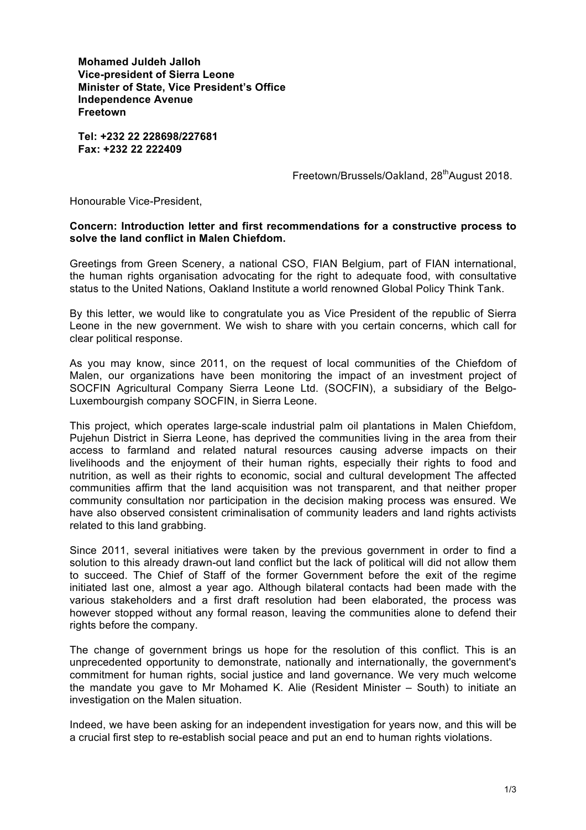**Mohamed Juldeh Jalloh Vice-president of Sierra Leone Minister of State, Vice President's Office Independence Avenue Freetown**

**Tel: +232 22 228698/227681 Fax: +232 22 222409**

Freetown/Brussels/Oakland, 28<sup>th</sup>August 2018.

Honourable Vice-President,

## **Concern: Introduction letter and first recommendations for a constructive process to solve the land conflict in Malen Chiefdom.**

Greetings from Green Scenery, a national CSO, FIAN Belgium, part of FIAN international, the human rights organisation advocating for the right to adequate food, with consultative status to the United Nations, Oakland Institute a world renowned Global Policy Think Tank.

By this letter, we would like to congratulate you as Vice President of the republic of Sierra Leone in the new government. We wish to share with you certain concerns, which call for clear political response.

As you may know, since 2011, on the request of local communities of the Chiefdom of Malen, our organizations have been monitoring the impact of an investment project of SOCFIN Agricultural Company Sierra Leone Ltd. (SOCFIN), a subsidiary of the Belgo-Luxembourgish company SOCFIN, in Sierra Leone.

This project, which operates large-scale industrial palm oil plantations in Malen Chiefdom, Pujehun District in Sierra Leone, has deprived the communities living in the area from their access to farmland and related natural resources causing adverse impacts on their livelihoods and the enjoyment of their human rights, especially their rights to food and nutrition, as well as their rights to economic, social and cultural development The affected communities affirm that the land acquisition was not transparent, and that neither proper community consultation nor participation in the decision making process was ensured. We have also observed consistent criminalisation of community leaders and land rights activists related to this land grabbing.

Since 2011, several initiatives were taken by the previous government in order to find a solution to this already drawn-out land conflict but the lack of political will did not allow them to succeed. The Chief of Staff of the former Government before the exit of the regime initiated last one, almost a year ago. Although bilateral contacts had been made with the various stakeholders and a first draft resolution had been elaborated, the process was however stopped without any formal reason, leaving the communities alone to defend their rights before the company.

The change of government brings us hope for the resolution of this conflict. This is an unprecedented opportunity to demonstrate, nationally and internationally, the government's commitment for human rights, social justice and land governance. We very much welcome the mandate you gave to Mr Mohamed K. Alie (Resident Minister – South) to initiate an investigation on the Malen situation.

Indeed, we have been asking for an independent investigation for years now, and this will be a crucial first step to re-establish social peace and put an end to human rights violations.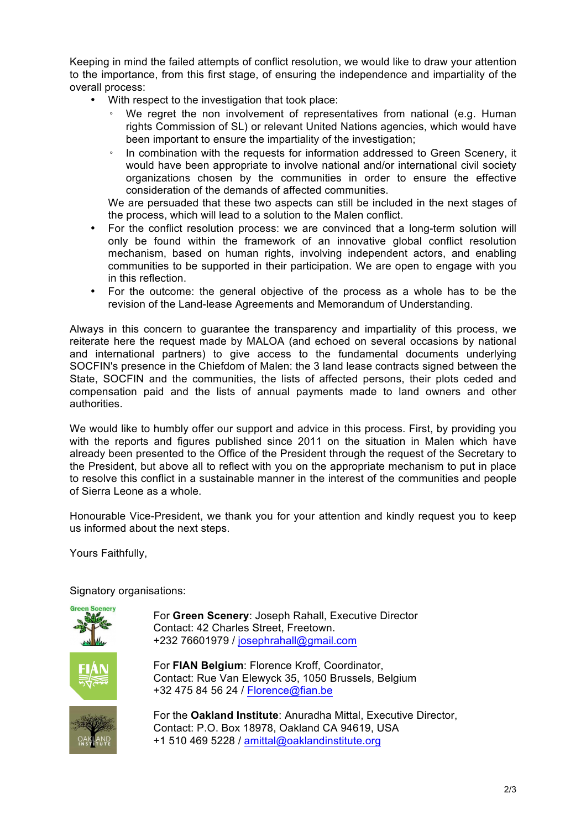Keeping in mind the failed attempts of conflict resolution, we would like to draw your attention to the importance, from this first stage, of ensuring the independence and impartiality of the overall process:

- With respect to the investigation that took place:
	- We regret the non involvement of representatives from national (e.g. Human rights Commission of SL) or relevant United Nations agencies, which would have been important to ensure the impartiality of the investigation;
	- In combination with the requests for information addressed to Green Scenery, it would have been appropriate to involve national and/or international civil society organizations chosen by the communities in order to ensure the effective consideration of the demands of affected communities.

We are persuaded that these two aspects can still be included in the next stages of the process, which will lead to a solution to the Malen conflict.

- For the conflict resolution process: we are convinced that a long-term solution will only be found within the framework of an innovative global conflict resolution mechanism, based on human rights, involving independent actors, and enabling communities to be supported in their participation. We are open to engage with you in this reflection.
- For the outcome: the general objective of the process as a whole has to be the revision of the Land-lease Agreements and Memorandum of Understanding.

Always in this concern to guarantee the transparency and impartiality of this process, we reiterate here the request made by MALOA (and echoed on several occasions by national and international partners) to give access to the fundamental documents underlying SOCFIN's presence in the Chiefdom of Malen: the 3 land lease contracts signed between the State, SOCFIN and the communities, the lists of affected persons, their plots ceded and compensation paid and the lists of annual payments made to land owners and other authorities.

We would like to humbly offer our support and advice in this process. First, by providing you with the reports and figures published since 2011 on the situation in Malen which have already been presented to the Office of the President through the request of the Secretary to the President, but above all to reflect with you on the appropriate mechanism to put in place to resolve this conflict in a sustainable manner in the interest of the communities and people of Sierra Leone as a whole.

Honourable Vice-President, we thank you for your attention and kindly request you to keep us informed about the next steps.

Yours Faithfully,



Signatory organisations:

For **Green Scenery**: Joseph Rahall, Executive Director Contact: 42 Charles Street, Freetown. +232 76601979 / josephrahall@gmail.com

For **FIAN Belgium**: Florence Kroff, Coordinator, Contact: Rue Van Elewyck 35, 1050 Brussels, Belgium +32 475 84 56 24 / Florence@fian.be

For the **Oakland Institute**: Anuradha Mittal, Executive Director, Contact: P.O. Box 18978, Oakland CA 94619, USA +1 510 469 5228 / amittal@oaklandinstitute.org